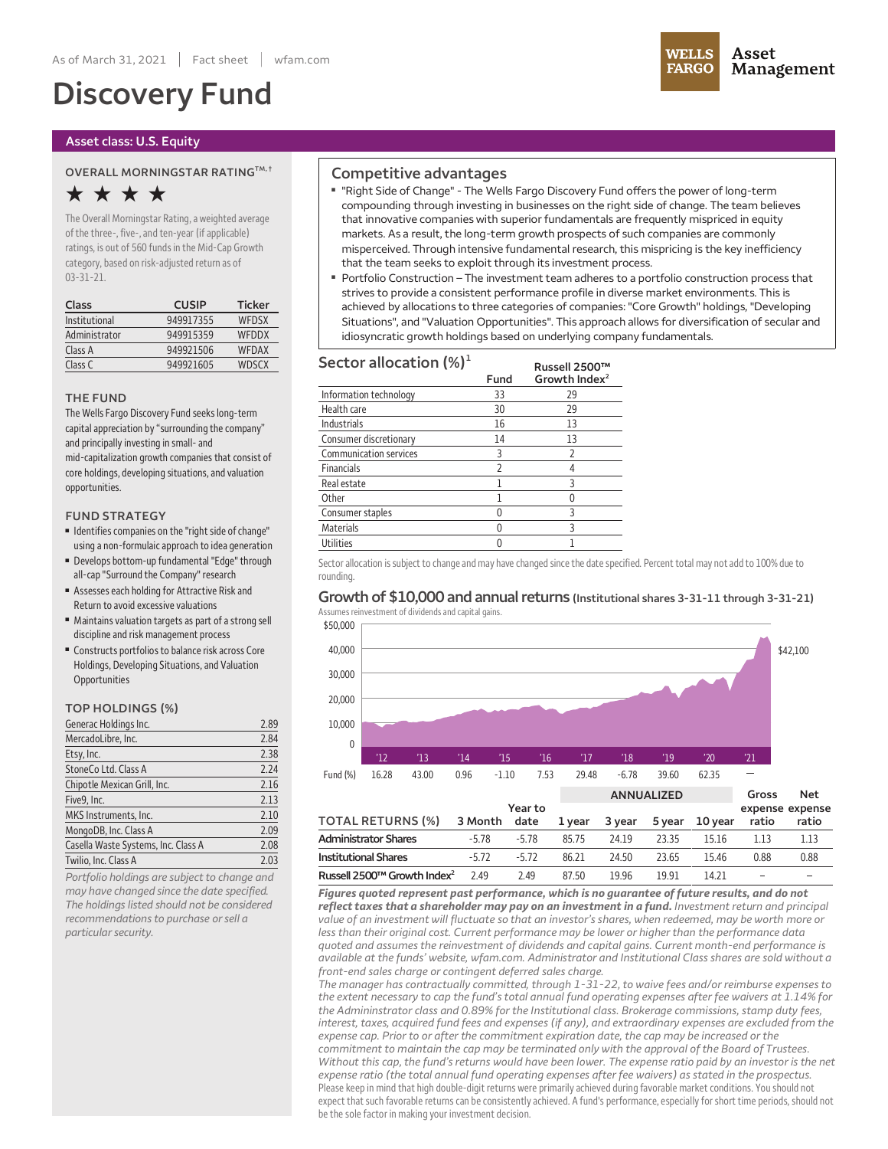# **Discovery Fund**

#### **Asset class: U.S. Equity**

#### **OVERALL MORNINGSTAR RATINGTM, †**

## **★ ★ ★ ★**

**The OverallMorningstar Rating,a weighted average ofthe three-, five-,and ten-year (ifapplicable) ratings, is out of 560 fundsin theMid-Cap Growth category, based on risk-adjusted return as of 03-31-21.**

| Class         | <b>CUSIP</b> | <b>Ticker</b> |
|---------------|--------------|---------------|
| Institutional | 949917355    | WEDSX         |
| Administrator | 949915359    | WEDDX         |
| Class A       | 949921506    | <b>WFDAX</b>  |
| Class C       | 949921605    | <b>WDSCX</b>  |

#### **THE FUND**

**The Wells Fargo Discovery Fund seekslong-term capitalappreciation by"surrounding the company" and principallyinvesting in small-and mid-capitalization growth companies that consist of core holdings, developing situations,and valuation opportunities.**

#### **FUND STRATEGY**

- **■ Identifiescompanies on the "rightside ofchange" using a non-formulaicapproach to idea generation**
- **■ Develops bottom-up fundamental "Edge" through all-cap "Surround the Company" research**
- **■ Assesses each holding for Attractive Risk and Return to avoid excessive valuations**
- **■ Maintains** valuation targets as part of a strong sell **discipline and riskmanagement process**
- **■ Constructs portfoliosto balance risk across Core Holdings, Developing Situations,and Valuation Opportunities**

#### **TOP HOLDINGS (%)**

| Generac Holdings Inc.               | 2.89 |
|-------------------------------------|------|
| MercadoLibre, Inc.                  | 2.84 |
| Etsy, Inc.                          | 2.38 |
| StoneCo Ltd. Class A                | 2.24 |
| Chipotle Mexican Grill, Inc.        | 2.16 |
| Five9, Inc.                         | 2.13 |
| MKS Instruments, Inc.               | 2.10 |
| MongoDB, Inc. Class A               | 2.09 |
| Casella Waste Systems, Inc. Class A | 2.08 |
| Twilio, Inc. Class A                | 2.03 |
|                                     |      |

*Portfolio holdings are subject to change and may have changed since the date specified. The holdings listed should not be considered recommendations to purchase orsell a particularsecurity.*

### **Competitive advantages**

- **■ "Right Side of Change" - The Wells Fargo Discovery Fund offers the power oflong-term compounding through investing in businesses on the right side of change. The team believes that innovative companies with superior fundamentals are frequently mispriced in equity markets. As a result, the long-term growth prospects of such companies are commonly misperceived. Through intensive fundamental research, this mispricing is the key inefficiency that the team seeks to exploit through its investment process.**
- **■ Portfolio Construction – The investment team adheres to a portfolio construction process that strives to provide a consistent performance profile in diverse market environments. This is achieved by allocations to three categories of companies: "Core Growth" holdings, "Developing Situations", and "Valuation Opportunities". This approach allows for diversification of secular and idiosyncratic growth holdings based on underlying company fundamentals.**

| Sector allocation $(\%)^1$    |      | Russell 2500™             |
|-------------------------------|------|---------------------------|
|                               | Fund | Growth Index <sup>2</sup> |
| Information technology        | 33   | 29                        |
| Health care                   | 30   | 29                        |
| <b>Industrials</b>            | 16   | 13                        |
| Consumer discretionary        | 14   | 13                        |
| <b>Communication services</b> | 3    | 2                         |
| <b>Financials</b>             | 2    |                           |
| Real estate                   |      | 3                         |
| Other                         |      |                           |
| Consumer staples              |      | 3                         |
| Materials                     |      | ς                         |
| Utilities                     |      |                           |

Sector allocation is subject to change and may have changed since the date specified. Percent total may not add to 100% due to **rounding.**

#### **Growth of \$10,000 and annualreturns (Institutional shares 3-31-11 through 3-31-21) Assumesreinvestment of dividendsand capital gains.**



| Administrator Shares                                                                                        | -5 78   | -5 78 | 85 75 | 24 19 | 23.35 | 15 16 |      | 1 1 3 |
|-------------------------------------------------------------------------------------------------------------|---------|-------|-------|-------|-------|-------|------|-------|
| Institutional Shares                                                                                        | $-5.72$ | -5.72 | 86.21 | 24.50 | 23.65 | 1546  | 0.88 | 0.88  |
| Russell 2500 $\text{m}$ Growth Index <sup>2</sup> 2.49                                                      |         | 249   | 87.50 | 1996  | 19 91 | 14.21 |      |       |
| Figures quoted represent past performance, which is no quarantee of future results, and do not              |         |       |       |       |       |       |      |       |
| <b>reflect taxes that a shareholder may pay on an investment in a fund.</b> Investment return and principal |         |       |       |       |       |       |      |       |
| value of an investment will fluctuate so that an investor's shares, when redeemed, may be worth more or     |         |       |       |       |       |       |      |       |
|                                                                                                             |         |       |       |       |       |       |      |       |

*less than their original cost. Current performance may be lower or higher than the performance data quoted and assumes the reinvestment of dividends and capital gains. Current month-end performance is available at the funds' website, wfam.com. Administrator and Institutional Class shares are sold without a front-end sales charge or contingent deferred sales charge.*

*The manager has contractually committed, through 1-31-22, to waive fees and/or reimburse expenses to* the extent necessary to cap the fund's total annual fund operating expenses after fee waivers at 1.14% for *the Admininstrator class and 0.89% for the Institutional class. Brokerage commissions,stamp duty fees, interest, taxes, acquired fund fees and expenses (if any), and extraordinary expenses are excluded from the expense cap. Prior to or after the commitment expiration date, the cap may be increased or the commitment to maintain the cap may be terminated only with the approval of the Board of Trustees.* Without this cap, the fund's returns would have been lower. The expense ratio paid by an investor is the net *expense ratio (the total annual fund operating expenses after fee waivers) as stated in the prospectus.* Please keep in mind that high double-digit returns were primarily achieved during favorable market conditions. You should not **expectthatsuch favorable returns can be consistentlyachieved. A fund's performance, especiallyforshorttime periods,should not be the sole factor in making your investment decision.**